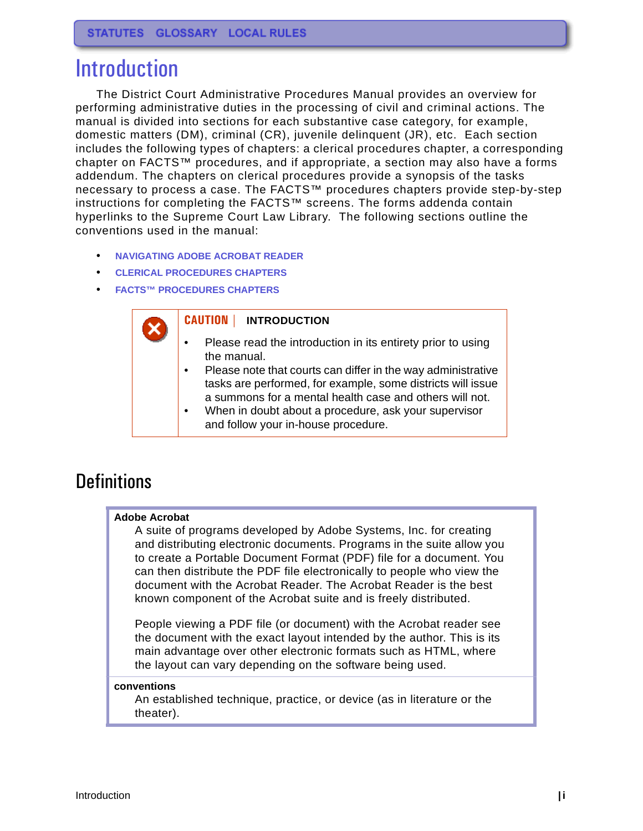# Introduction

The District Court Administrative Procedures Manual provides an overview for performing administrative duties in the processing of civil and criminal actions. The manual is divided into sections for each substantive case category, for example, domestic matters (DM), criminal (CR), juvenile delinquent (JR), etc. Each section includes the following types of chapters: a clerical procedures chapter, a corresponding chapter on FACTS™ procedures, and if appropriate, a section may also have a forms addendum. The chapters on clerical procedures provide a synopsis of the tasks necessary to process a case. The FACTS™ procedures chapters provide step-by-step instructions for completing the FACTS™ screens. The forms addenda contain hyperlinks to the Supreme Court Law Library. The following sections outline the conventions used in the manual:

- **[NAVIGATING ADOBE ACROBAT READER](#page-1-0)**
- **[CLERICAL PROCEDURES CHAPTERS](#page-2-0)**
- **[FACTS™ PROCEDURES CHAPTERS](#page-6-0)**

#### **CAUTION | INTRODUCTION**

- Please read the introduction in its entirety prior to using the manual.
- Please note that courts can differ in the way administrative tasks are performed, for example, some districts will issue a summons for a mental health case and others will not.
- When in doubt about a procedure, ask your supervisor
	- and follow your in-house procedure.

### **Definitions**

#### **Adobe Acrobat**

A suite of programs developed by Adobe Systems, Inc. for creating and distributing electronic documents. Programs in the suite allow you to create a Portable Document Format (PDF) file for a document. You can then distribute the PDF file electronically to people who view the document with the Acrobat Reader. The Acrobat Reader is the best known component of the Acrobat suite and is freely distributed.

People viewing a PDF file (or document) with the Acrobat reader see the document with the exact layout intended by the author. This is its main advantage over other electronic formats such as HTML, where the layout can vary depending on the software being used.

#### **conventions**

An established technique, practice, or device (as in literature or the theater).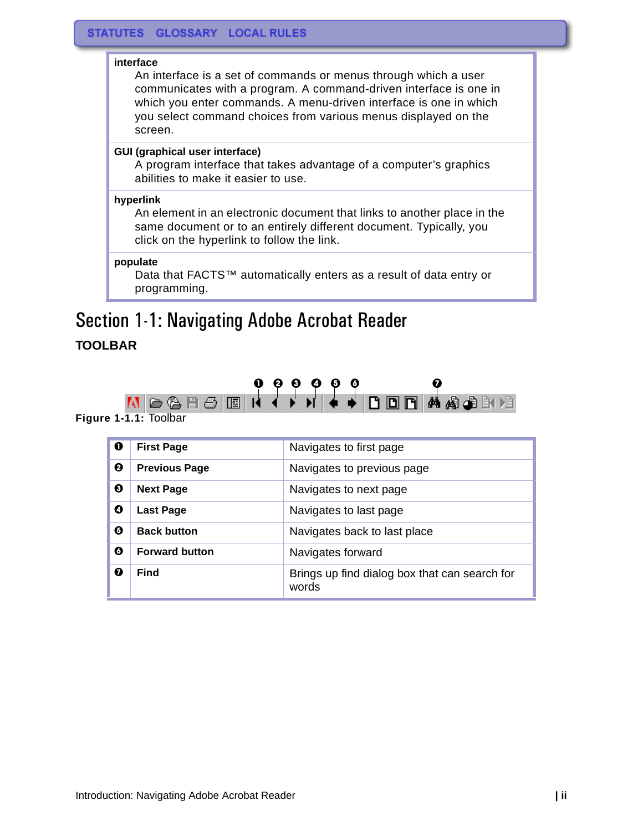#### **interface**

An interface is a set of commands or menus through which a user communicates with a program. A command-driven interface is one in which you enter commands. A menu-driven interface is one in which you select command choices from various menus displayed on the screen.

#### **GUI (graphical user interface)**

A program interface that takes advantage of a computer's graphics abilities to make it easier to use.

#### **hyperlink**

An element in an electronic document that links to another place in the same document or to an entirely different document. Typically, you click on the hyperlink to follow the link.

#### **populate**

Data that FACTS™ automatically enters as a result of data entry or programming.

# <span id="page-1-0"></span>Section 1-1: Navigating Adobe Acrobat Reader

#### **TOOLBAR**



**Figure 1-1.1:** Toolbar

| $\mathbf 0$ | <b>First Page</b>     | Navigates to first page                                |
|-------------|-----------------------|--------------------------------------------------------|
| ❷           | <b>Previous Page</b>  | Navigates to previous page                             |
| ❸           | <b>Next Page</b>      | Navigates to next page                                 |
| Ø           | <b>Last Page</b>      | Navigates to last page                                 |
| Θ           | <b>Back button</b>    | Navigates back to last place                           |
| 0           | <b>Forward button</b> | Navigates forward                                      |
|             | Find                  | Brings up find dialog box that can search for<br>words |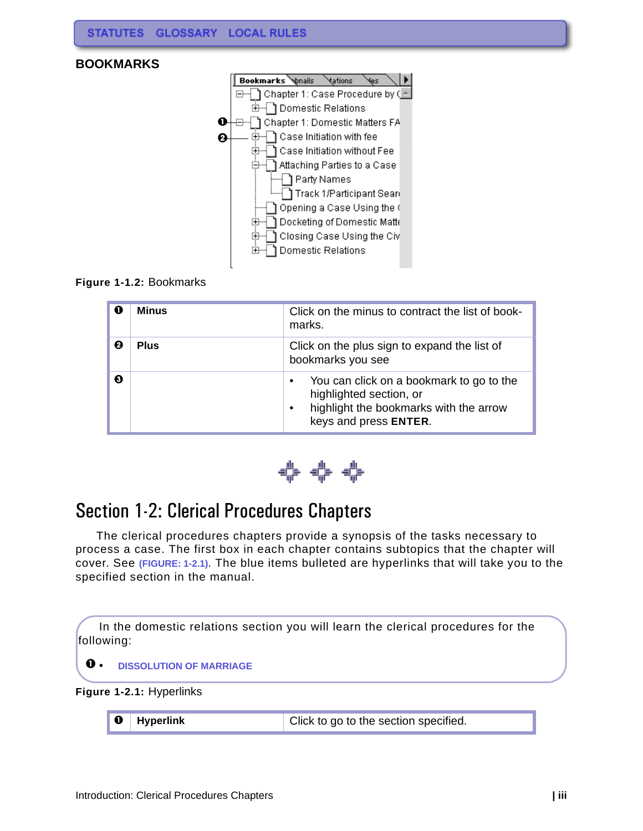

#### **Figure 1-1.2:** Bookmarks

| O | <b>Minus</b> | Click on the minus to contract the list of book-<br>marks.                                                                                                       |  |  |  |  |  |  |
|---|--------------|------------------------------------------------------------------------------------------------------------------------------------------------------------------|--|--|--|--|--|--|
| ค | <b>Plus</b>  | Click on the plus sign to expand the list of<br>bookmarks you see                                                                                                |  |  |  |  |  |  |
| ଈ |              | You can click on a bookmark to go to the<br>$\bullet$<br>highlighted section, or<br>highlight the bookmarks with the arrow<br>$\bullet$<br>keys and press ENTER. |  |  |  |  |  |  |



### <span id="page-2-0"></span>Section 1-2: Clerical Procedures Chapters

The clerical procedures chapters provide a synopsis of the tasks necessary to process a case. The first box in each chapter contains subtopics that the chapter will cover. See **[\(FIGURE: 1-2.1\)](#page-2-1)**. The blue items bulleted are hyperlinks that will take you to the specified section in the manual.

In the domestic relations section you will learn the clerical procedures for the following:

#### **0** • **DISSOLUTION OF MARRIAGE**

<span id="page-2-1"></span>**Figure 1-2.1:** Hyperlinks

|  | $\parallel$ 0 Hyperlink | Click to go to the section specified. |
|--|-------------------------|---------------------------------------|
|--|-------------------------|---------------------------------------|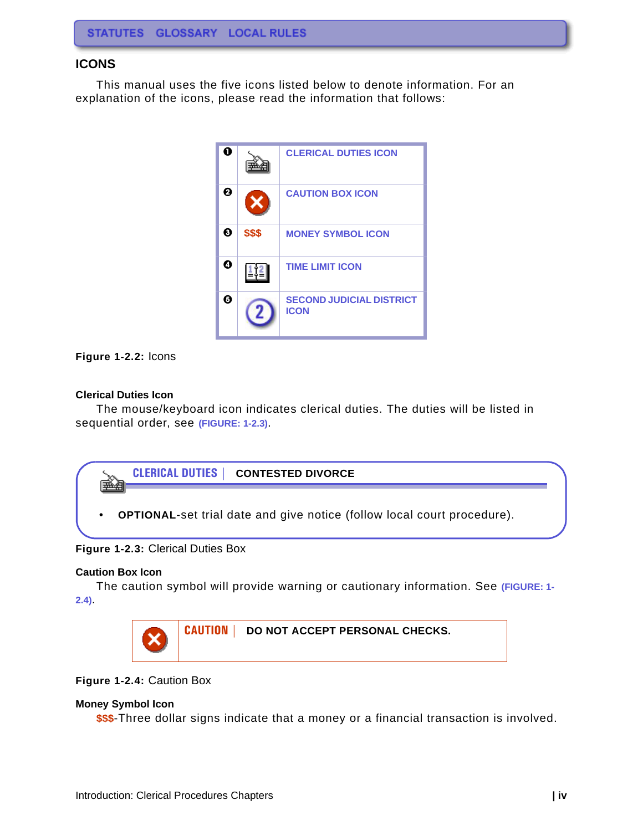#### **ICONS**

This manual uses the five icons listed below to denote information. For an explanation of the icons, please read the information that follows:



#### **Figure 1-2.2:** Icons

#### <span id="page-3-0"></span>**Clerical Duties Icon**

The mouse/keyboard icon indicates clerical duties. The duties will be listed in sequential order, see **[\(FIGURE: 1-2.3\)](#page-3-4)**.



#### <span id="page-3-4"></span>**Figure 1-2.3:** Clerical Duties Box

#### <span id="page-3-1"></span>**Caution Box Icon**

The caution symbol will provide warning or cautionary information. See **[\(FIGURE: 1-](#page-3-3) [2.4\)](#page-3-3)**.



#### <span id="page-3-3"></span>**Figure 1-2.4:** Caution Box

#### <span id="page-3-2"></span>**Money Symbol Icon**

**\$\$\$**-Three dollar signs indicate that a money or a financial transaction is involved.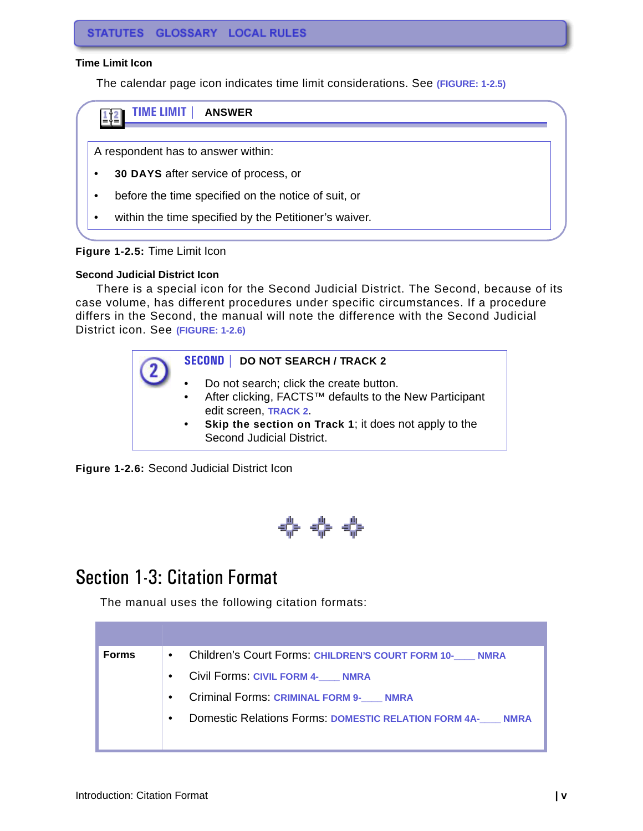#### <span id="page-4-0"></span>**Time Limit Icon**

The calendar page icon indicates time limit considerations. See **[\(FIGURE: 1-2.5\)](#page-4-1)**



#### <span id="page-4-1"></span>**Figure 1-2.5:** Time Limit Icon

#### **Second Judicial District Icon**

There is a special icon for the Second Judicial District. The Second, because of its case volume, has different procedures under specific circumstances. If a procedure differs in the Second, the manual will note the difference with the Second Judicial District icon. See **[\(FIGURE: 1-2.6\)](#page-4-2)**



<span id="page-4-2"></span>**Figure 1-2.6:** Second Judicial District Icon



### Section 1-3: Citation Format

The manual uses the following citation formats:

| <b>Forms</b> | • Children's Court Forms: CHILDREN'S COURT FORM 10- NMRA               |
|--------------|------------------------------------------------------------------------|
|              | Civil Forms: CIVIL FORM 4- NMRA<br>$\bullet$                           |
|              | <b>Criminal Forms: CRIMINAL FORM 9- NMRA</b><br>$\bullet$              |
|              | Domestic Relations Forms: DOMESTIC RELATION FORM 4A- NMRA<br>$\bullet$ |
|              |                                                                        |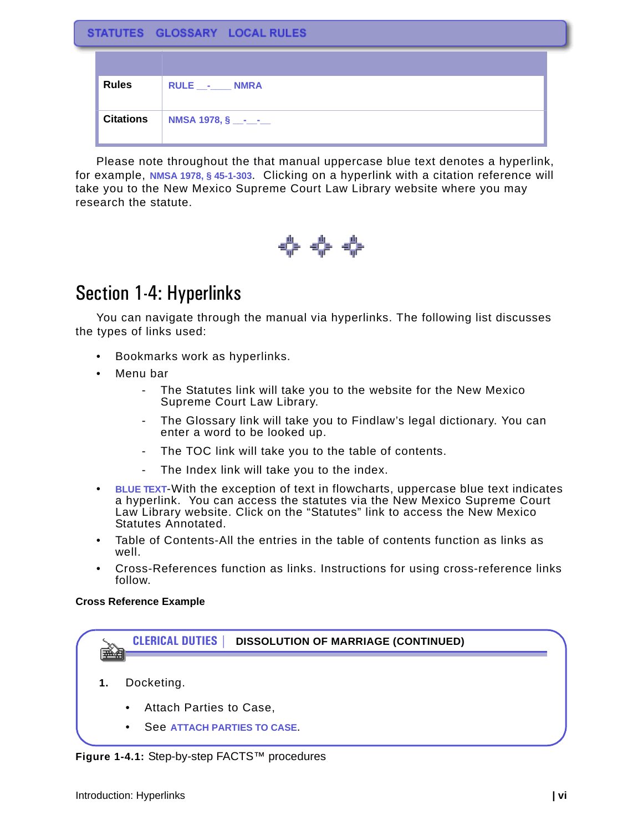|  |  | STATUTES GLOSSARY LOCAL RULES |
|--|--|-------------------------------|
|--|--|-------------------------------|

| <b>Rules</b>     | RULE __-____ NMRA             |
|------------------|-------------------------------|
| <b>Citations</b> | <b>NMSA 1978, § __-__-</b> __ |

Please note throughout the that manual uppercase blue text denotes a hyperlink, for example, **NMSA 1978, § 45-1-303**. Clicking on a hyperlink with a citation reference will take you to the New Mexico Supreme Court Law Library website where you may research the statute.



### Section 1-4: Hyperlinks

You can navigate through the manual via hyperlinks. The following list discusses the types of links used:

- Bookmarks work as hyperlinks.
- Menu bar
	- The Statutes link will take you to the website for the New Mexico Supreme Court Law Library.
	- The Glossary link will take you to Findlaw's legal dictionary. You can enter a word to be looked up.
	- The TOC link will take you to the table of contents.
	- The Index link will take you to the index.
- **BLUE TEXT**-With the exception of text in flowcharts, uppercase blue text indicates a hyperlink. You can access the statutes via the New Mexico Supreme Court Law Library website. Click on the "Statutes" link to access the New Mexico Statutes Annotated.
- Table of Contents-All the entries in the table of contents function as links as well.
- Cross-References function as links. Instructions for using cross-reference links follow.

#### **Cross Reference Example**

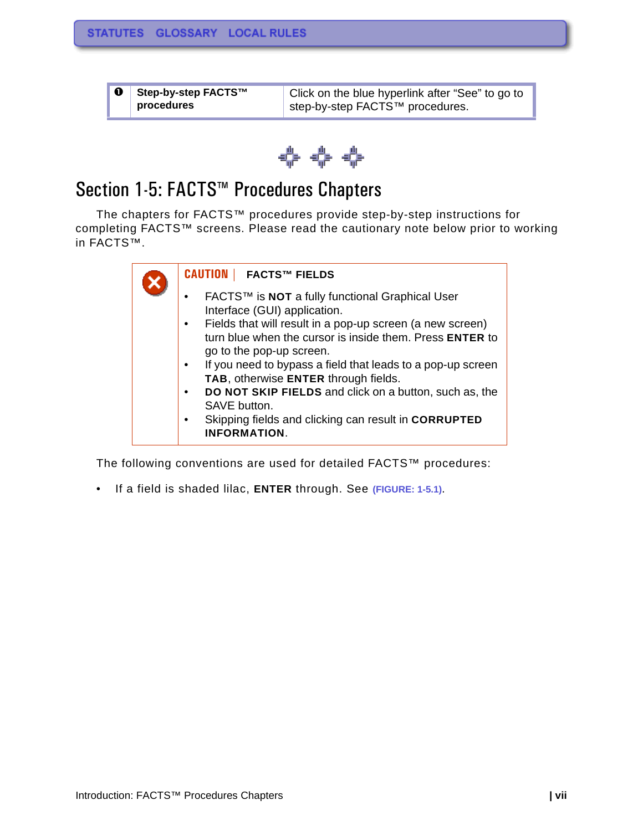| <b>0</b> Step-by-step FACTS™ | Click on the blue hyperlink after "See" to go to         |  |  |  |  |  |
|------------------------------|----------------------------------------------------------|--|--|--|--|--|
| procedures                   | <sup>⊥</sup> step-by-step FACTS <sup>™</sup> procedures. |  |  |  |  |  |



## <span id="page-6-0"></span>Section 1-5: FACTS™ Procedures Chapters

The chapters for FACTS™ procedures provide step-by-step instructions for completing FACTS™ screens. Please read the cautionary note below prior to working in FACTS™.



The following conventions are used for detailed FACTS™ procedures:

• If a field is shaded lilac, **ENTER** through. See **[\(FIGURE: 1-5.1\)](#page-7-0)**.